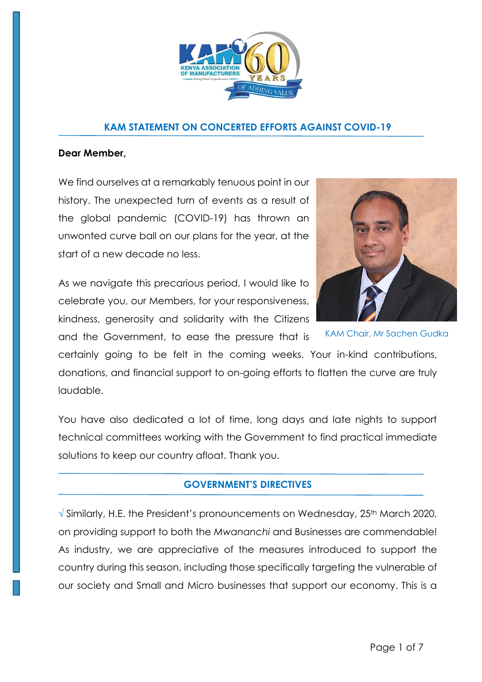

#### **KAM STATEMENT ON CONCERTED EFFORTS AGAINST COVID-19**

#### **Dear Member,**

We find ourselves at a remarkably tenuous point in our history. The unexpected turn of events as a result of the global pandemic (COVID-19) has thrown an unwonted curve ball on our plans for the year, at the start of a new decade no less.

As we navigate this precarious period, I would like to celebrate you, our Members, for your responsiveness, kindness, generosity and solidarity with the Citizens and the Government, to ease the pressure that is



KAM Chair, Mr Sachen Gudka

certainly going to be felt in the coming weeks. Your in-kind contributions, donations, and financial support to on-going efforts to flatten the curve are truly laudable.

You have also dedicated a lot of time, long days and late nights to support technical committees working with the Government to find practical immediate solutions to keep our country afloat. Thank you.

### **GOVERNMENT'S DIRECTIVES**

√ Similarly, H.E. the President's pronouncements on Wednesday, 25<sup>th</sup> March 2020, on providing support to both the *Mwananchi* and Businesses are commendable! As industry, we are appreciative of the measures introduced to support the country during this season, including those specifically targeting the vulnerable of our society and Small and Micro businesses that support our economy. This is a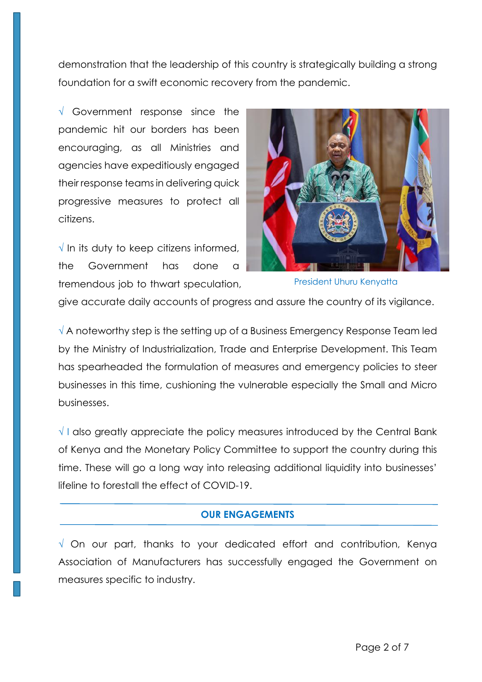demonstration that the leadership of this country is strategically building a strong foundation for a swift economic recovery from the pandemic.

 $\sqrt{ }$  Government response since the pandemic hit our borders has been encouraging, as all Ministries and agencies have expeditiously engaged their response teams in delivering quick progressive measures to protect all citizens.

 $\sqrt{}$  In its duty to keep citizens informed, the Government has done a tremendous job to thwart speculation,



President Uhuru Kenyatta

give accurate daily accounts of progress and assure the country of its vigilance.

√ A noteworthy step is the setting up of a Business Emergency Response Team led by the Ministry of Industrialization, Trade and Enterprise Development. This Team has spearheaded the formulation of measures and emergency policies to steer businesses in this time, cushioning the vulnerable especially the Small and Micro businesses.

√ I also greatly appreciate the policy measures introduced by the Central Bank of Kenya and the Monetary Policy Committee to support the country during this time. These will go a long way into releasing additional liquidity into businesses' lifeline to forestall the effect of COVID-19.

### **OUR ENGAGEMENTS**

√ On our part, thanks to your dedicated effort and contribution, Kenya Association of Manufacturers has successfully engaged the Government on measures specific to industry.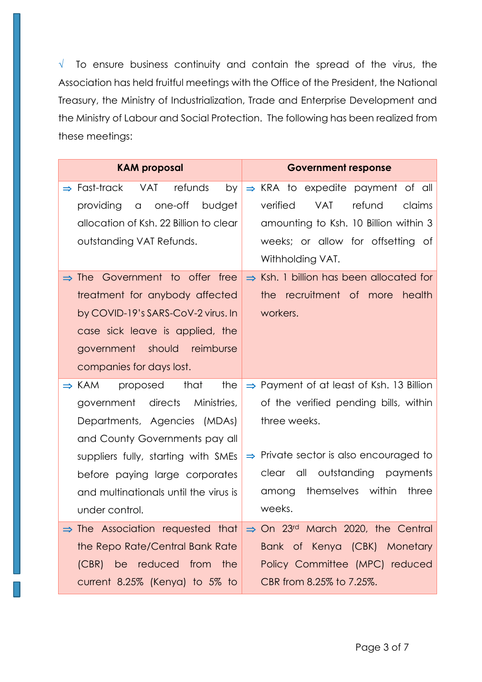$\sqrt{ }$  To ensure business continuity and contain the spread of the virus, the Association has held fruitful meetings with the Office of the President, the National Treasury, the Ministry of Industrialization, Trade and Enterprise Development and the Ministry of Labour and Social Protection. The following has been realized from these meetings:

| <b>KAM proposal</b>                                     | <b>Government response</b>                           |  |
|---------------------------------------------------------|------------------------------------------------------|--|
| refunds<br>$\Rightarrow$ Fast-track<br><b>VAT</b><br>by | $\Rightarrow$ KRA to expedite payment of all         |  |
| one-off budget<br>providing<br>$\alpha$                 | <b>VAT</b><br>refund<br>verified<br>claims           |  |
| allocation of Ksh. 22 Billion to clear                  | amounting to Ksh. 10 Billion within 3                |  |
| outstanding VAT Refunds.                                | weeks; or allow for offsetting of                    |  |
|                                                         | Withholding VAT.                                     |  |
| Government to offer free<br>$\Rightarrow$ The           | $\Rightarrow$ Ksh. 1 billion has been allocated for  |  |
| treatment for anybody affected                          | the recruitment of more<br>health                    |  |
| by COVID-19's SARS-CoV-2 virus. In                      | workers.                                             |  |
| case sick leave is applied, the                         |                                                      |  |
| government should reimburse                             |                                                      |  |
| companies for days lost.                                |                                                      |  |
| that<br>the<br>$\Rightarrow$ KAM<br>proposed            | $\Rightarrow$ Payment of at least of Ksh. 13 Billion |  |
| government directs Ministries,                          | of the verified pending bills, within                |  |
| Departments, Agencies (MDAs)                            | three weeks.                                         |  |
| and County Governments pay all                          |                                                      |  |
| suppliers fully, starting with SMEs                     | $\Rightarrow$ Private sector is also encouraged to   |  |
| before paying large corporates                          | all<br>outstanding payments<br>clear                 |  |
| and multinationals until the virus is                   | within<br>themselves<br>three<br>among               |  |
| under control.                                          | weeks.                                               |  |
| $\Rightarrow$ The Association requested that            | $\Rightarrow$ On 23rd March 2020, the Central        |  |
| the Repo Rate/Central Bank Rate                         | Bank of Kenya (CBK) Monetary                         |  |
| (CBR) be reduced from the                               | Policy Committee (MPC) reduced                       |  |
| current 8.25% (Kenya) to 5% to                          | CBR from 8.25% to 7.25%.                             |  |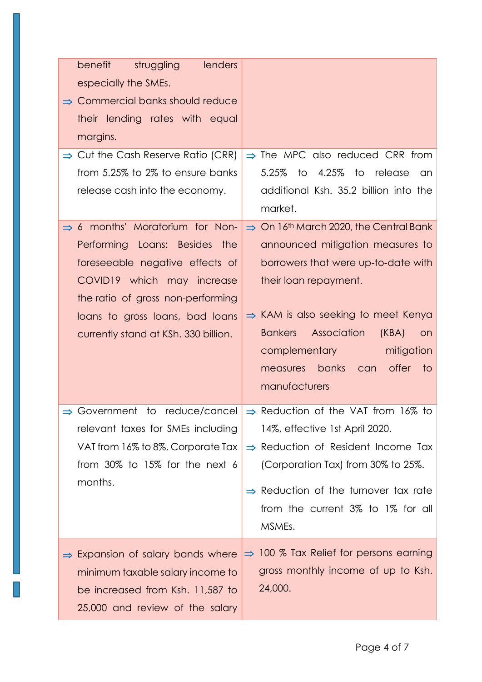|  | benefit<br>lenders<br>struggling<br>especially the SMEs.<br>$\Rightarrow$ Commercial banks should reduce<br>their lending rates with equal<br>margins.                                                                                                        |                                                                                                                                                                                                                                                                                                                                                                |
|--|---------------------------------------------------------------------------------------------------------------------------------------------------------------------------------------------------------------------------------------------------------------|----------------------------------------------------------------------------------------------------------------------------------------------------------------------------------------------------------------------------------------------------------------------------------------------------------------------------------------------------------------|
|  | $\Rightarrow$ Cut the Cash Reserve Ratio (CRR)<br>from 5.25% to 2% to ensure banks<br>release cash into the economy.                                                                                                                                          | $\Rightarrow$ The MPC also reduced CRR from<br>4.25%<br>5.25%<br>to<br>to release<br>an<br>additional Ksh. 35.2 billion into the<br>market.                                                                                                                                                                                                                    |
|  | $\Rightarrow$ 6 months' Moratorium for Non-<br>Performing Loans: Besides the<br>foreseeable negative effects of<br>COVID19 which may increase<br>the ratio of gross non-performing<br>loans to gross loans, bad loans<br>currently stand at KSh. 330 billion. | $\Rightarrow$ On 16 <sup>th</sup> March 2020, the Central Bank<br>announced mitigation measures to<br>borrowers that were up-to-date with<br>their loan repayment.<br>$\Rightarrow$ KAM is also seeking to meet Kenya<br><b>Bankers</b> Association<br>(KBA)<br><b>on</b><br>complementary<br>mitigation<br>measures banks can offer<br>to to<br>manufacturers |
|  | relevant taxes for SMEs including<br>VAT from 16% to 8%, Corporate Tax<br>from $30\%$ to 15% for the next 6<br>months.                                                                                                                                        | $\Rightarrow$ Government to reduce/cancel $\Rightarrow$ Reduction of the VAT from 16% to<br>14%, effective 1st April 2020.<br>$\Rightarrow$ Reduction of Resident Income Tax<br>(Corporation Tax) from 30% to 25%.<br>$\Rightarrow$ Reduction of the turnover tax rate<br>from the current 3% to 1% for all<br>MSMEs.                                          |
|  | $\Rightarrow$ Expansion of salary bands where<br>minimum taxable salary income to<br>be increased from Ksh. 11,587 to<br>25,000 and review of the salary                                                                                                      | $\Rightarrow$ 100 % Tax Relief for persons earning<br>gross monthly income of up to Ksh.<br>24,000.                                                                                                                                                                                                                                                            |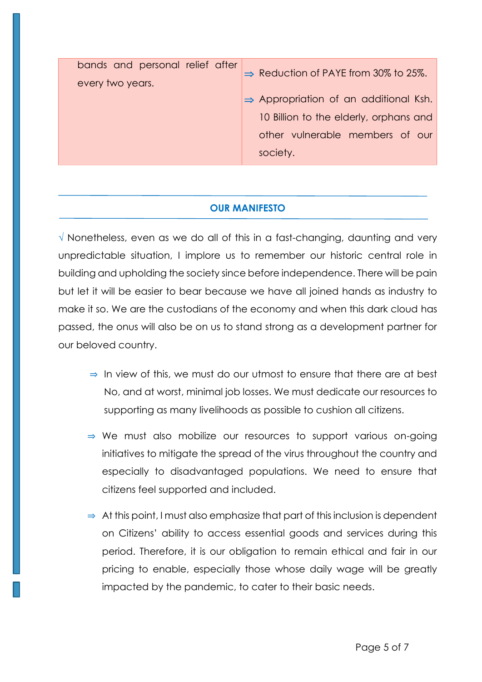| every two years.                                                                                                                           |  |
|--------------------------------------------------------------------------------------------------------------------------------------------|--|
| $\Rightarrow$ Appropriation of an additional Ksh.<br>10 Billion to the elderly, orphans and<br>other vulnerable members of our<br>society. |  |

## **OUR MANIFESTO**

√ Nonetheless, even as we do all of this in a fast-changing, daunting and very unpredictable situation, I implore us to remember our historic central role in building and upholding the society since before independence. There will be pain but let it will be easier to bear because we have all joined hands as industry to make it so. We are the custodians of the economy and when this dark cloud has passed, the onus will also be on us to stand strong as a development partner for our beloved country.

- ⇒ In view of this, we must do our utmost to ensure that there are at best No, and at worst, minimal job losses. We must dedicate our resources to supporting as many livelihoods as possible to cushion all citizens.
- ⇒ We must also mobilize our resources to support various on-going initiatives to mitigate the spread of the virus throughout the country and especially to disadvantaged populations. We need to ensure that citizens feel supported and included.
- ⇒ At this point, I must also emphasize that part of this inclusion is dependent on Citizens' ability to access essential goods and services during this period. Therefore, it is our obligation to remain ethical and fair in our pricing to enable, especially those whose daily wage will be greatly impacted by the pandemic, to cater to their basic needs.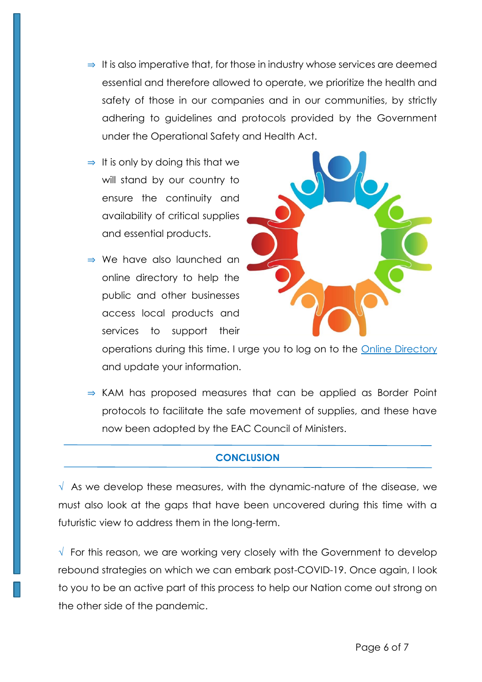- ⇒ It is also imperative that, for those in industry whose services are deemed essential and therefore allowed to operate, we prioritize the health and safety of those in our companies and in our communities, by strictly adhering to guidelines and protocols provided by the Government under the Operational Safety and Health Act.
- $\Rightarrow$  It is only by doing this that we will stand by our country to ensure the continuity and availability of critical supplies and essential products.
- ⇒ We have also launched an online directory to help the public and other businesses access local products and services to support their



operations during this time. I urge you to log on to the [Online Directory](http://www.directory.kam.co.ke/) and update your information.

⇒ KAM has proposed measures that can be applied as Border Point protocols to facilitate the safe movement of supplies, and these have now been adopted by the EAC Council of Ministers.

# **CONCLUSION**

 $\sqrt{ }$  As we develop these measures, with the dynamic-nature of the disease, we must also look at the gaps that have been uncovered during this time with a futuristic view to address them in the long-term.

√ For this reason, we are working very closely with the Government to develop rebound strategies on which we can embark post-COVID-19. Once again, I look to you to be an active part of this process to help our Nation come out strong on the other side of the pandemic.